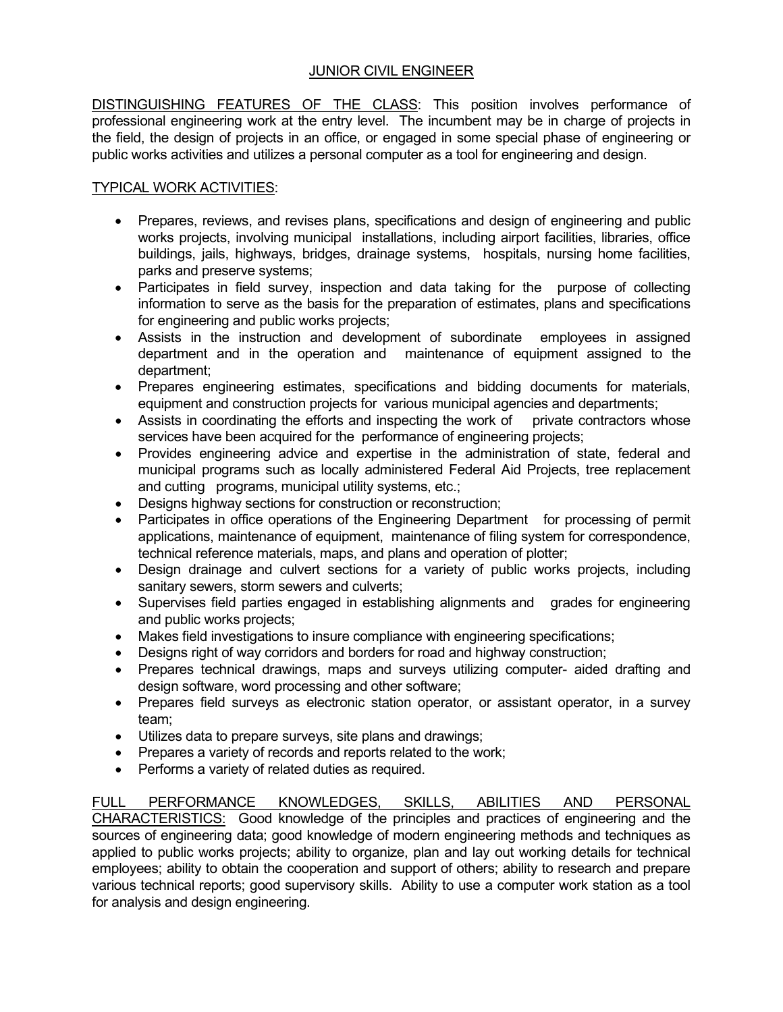## JUNIOR CIVIL ENGINEER

DISTINGUISHING FEATURES OF THE CLASS: This position involves performance of professional engineering work at the entry level. The incumbent may be in charge of projects in the field, the design of projects in an office, or engaged in some special phase of engineering or public works activities and utilizes a personal computer as a tool for engineering and design.

## TYPICAL WORK ACTIVITIES:

- Prepares, reviews, and revises plans, specifications and design of engineering and public works projects, involving municipal installations, including airport facilities, libraries, office buildings, jails, highways, bridges, drainage systems, hospitals, nursing home facilities, parks and preserve systems;
- Participates in field survey, inspection and data taking for the purpose of collecting information to serve as the basis for the preparation of estimates, plans and specifications for engineering and public works projects;
- Assists in the instruction and development of subordinate employees in assigned department and in the operation and maintenance of equipment assigned to the department;
- Prepares engineering estimates, specifications and bidding documents for materials, equipment and construction projects for various municipal agencies and departments;
- Assists in coordinating the efforts and inspecting the work of private contractors whose services have been acquired for the performance of engineering projects;
- Provides engineering advice and expertise in the administration of state, federal and municipal programs such as locally administered Federal Aid Projects, tree replacement and cutting programs, municipal utility systems, etc.;
- Designs highway sections for construction or reconstruction;
- Participates in office operations of the Engineering Department for processing of permit applications, maintenance of equipment, maintenance of filing system for correspondence, technical reference materials, maps, and plans and operation of plotter;
- Design drainage and culvert sections for a variety of public works projects, including sanitary sewers, storm sewers and culverts;
- Supervises field parties engaged in establishing alignments and grades for engineering and public works projects;
- Makes field investigations to insure compliance with engineering specifications;
- Designs right of way corridors and borders for road and highway construction;
- Prepares technical drawings, maps and surveys utilizing computer- aided drafting and design software, word processing and other software;
- Prepares field surveys as electronic station operator, or assistant operator, in a survey team;
- Utilizes data to prepare surveys, site plans and drawings;
- Prepares a variety of records and reports related to the work;
- Performs a variety of related duties as required.

FULL PERFORMANCE KNOWLEDGES, SKILLS, ABILITIES AND PERSONAL CHARACTERISTICS: Good knowledge of the principles and practices of engineering and the sources of engineering data; good knowledge of modern engineering methods and techniques as applied to public works projects; ability to organize, plan and lay out working details for technical employees; ability to obtain the cooperation and support of others; ability to research and prepare various technical reports; good supervisory skills. Ability to use a computer work station as a tool for analysis and design engineering.